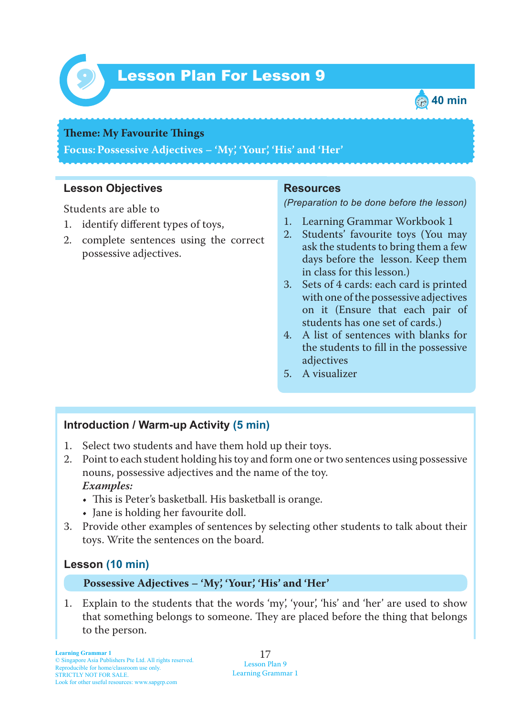

# Lesson Plan For Lesson 9 *9*



#### **Theme: My Favourite Things**

**Focus: Possessive Adjectives – 'My', 'Your', 'His' and 'Her'**

### **Lesson Objectives**

Students are able to

- 1. identify different types of toys,
- 2. complete sentences using the correct possessive adjectives.

#### **Resources**

*(Preparation to be done before the lesson)*

- 1. Learning Grammar Workbook 1
- 2. Students' favourite toys (You may ask the students to bring them a few days before the lesson. Keep them in class for this lesson.)
- 3. Sets of 4 cards: each card is printed with one of the possessive adjectives on it (Ensure that each pair of students has one set of cards.)
- 4. A list of sentences with blanks for the students to fill in the possessive adjectives
- 5. A visualizer

## **Introduction / Warm-up Activity (5 min)**

- 1. Select two students and have them hold up their toys.
- 2. Point to each student holding his toy and form one or two sentences using possessive nouns, possessive adjectives and the name of the toy.  *Examples:*
	- This is Peter's basketball. His basketball is orange.
	- Jane is holding her favourite doll.
- 3. Provide other examples of sentences by selecting other students to talk about their toys. Write the sentences on the board.

#### **Lesson (10 min)**

#### **Possessive Adjectives – 'My', 'Your', 'His' and 'Her'**

1. Explain to the students that the words 'my', 'your', 'his' and 'her' are used to show that something belongs to someone. They are placed before the thing that belongs to the person.

17 Lesson Plan 9 Learning Grammar 1